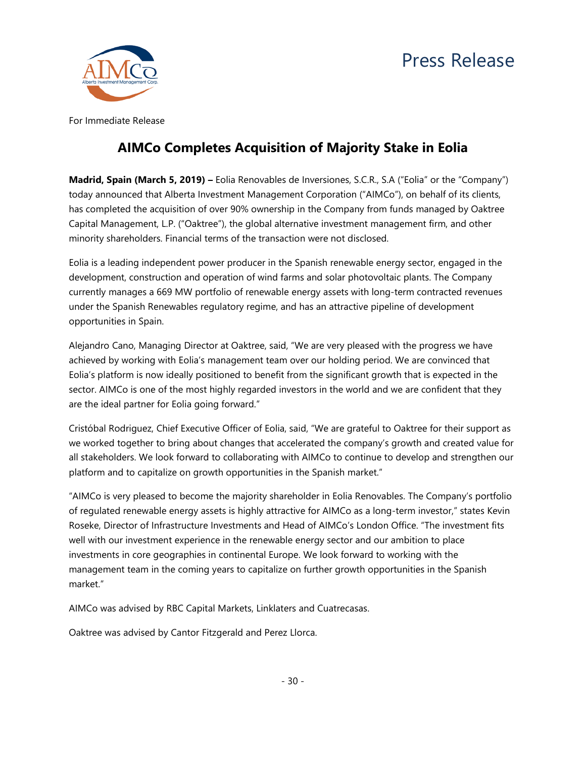# Press Release



For Immediate Release

# **AIMCo Completes Acquisition of Majority Stake in Eolia**

**Madrid, Spain (March 5, 2019) –** Eolia Renovables de Inversiones, S.C.R., S.A ("Eolia" or the "Company") today announced that Alberta Investment Management Corporation ("AIMCo"), on behalf of its clients, has completed the acquisition of over 90% ownership in the Company from funds managed by Oaktree Capital Management, L.P. ("Oaktree"), the global alternative investment management firm, and other minority shareholders. Financial terms of the transaction were not disclosed.

Eolia is a leading independent power producer in the Spanish renewable energy sector, engaged in the development, construction and operation of wind farms and solar photovoltaic plants. The Company currently manages a 669 MW portfolio of renewable energy assets with long-term contracted revenues under the Spanish Renewables regulatory regime, and has an attractive pipeline of development opportunities in Spain.

Alejandro Cano, Managing Director at Oaktree, said, "We are very pleased with the progress we have achieved by working with Eolia's management team over our holding period. We are convinced that Eolia's platform is now ideally positioned to benefit from the significant growth that is expected in the sector. AIMCo is one of the most highly regarded investors in the world and we are confident that they are the ideal partner for Eolia going forward."

Cristóbal Rodriguez, Chief Executive Officer of Eolia, said, "We are grateful to Oaktree for their support as we worked together to bring about changes that accelerated the company's growth and created value for all stakeholders. We look forward to collaborating with AIMCo to continue to develop and strengthen our platform and to capitalize on growth opportunities in the Spanish market."

"AIMCo is very pleased to become the majority shareholder in Eolia Renovables. The Company's portfolio of regulated renewable energy assets is highly attractive for AIMCo as a long-term investor," states Kevin Roseke, Director of Infrastructure Investments and Head of AIMCo's London Office. "The investment fits well with our investment experience in the renewable energy sector and our ambition to place investments in core geographies in continental Europe. We look forward to working with the management team in the coming years to capitalize on further growth opportunities in the Spanish market."

AIMCo was advised by RBC Capital Markets, Linklaters and Cuatrecasas.

Oaktree was advised by Cantor Fitzgerald and Perez Llorca.